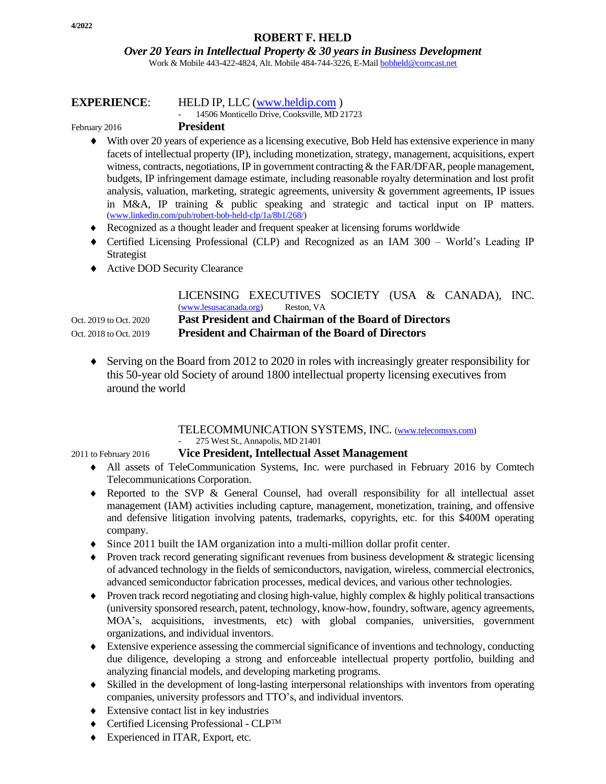*Over 20 Years in Intellectual Property & 30 years in Business Development*

Work & Mobile 443-422-4824, Alt. Mobile 484-744-3226, E-Mai[l bobheld@comcast.net](mailto:bobheld@comcast.net)

#### **EXPERIENCE**: HELD IP, LLC [\(www.heldip.com](http://www.heldip.com/) )

- 14506 Monticello Drive, Cooksville, MD 21723

#### February 2016 **President**

- With over 20 years of experience as a licensing executive, Bob Held has extensive experience in many facets of intellectual property (IP), including monetization, strategy, management, acquisitions, expert witness, contracts, negotiations, IP in government contracting  $\&$  the FAR/DFAR, people management, budgets, IP infringement damage estimate, including reasonable royalty determination and lost profit analysis, valuation, marketing, strategic agreements, university  $\&$  government agreements, IP issues in M&A, IP training & public speaking and strategic and tactical input on IP matters. [\(www.linkedin.com/pub/robert-bob-held-clp/1a/8b1/268/\)](http://www.linkedin.com/pub/robert-bob-held-clp/1a/8b1/268/)
- Recognized as a thought leader and frequent speaker at licensing forums worldwide
- Certified Licensing Professional (CLP) and Recognized as an IAM 300 World's Leading IP Strategist
- ◆ Active DOD Security Clearance

|                        | LICENSING EXECUTIVES SOCIETY (USA & CANADA), INC.            |  |
|------------------------|--------------------------------------------------------------|--|
|                        | (www.lesusacanada.org)<br>Reston, VA                         |  |
| Oct. 2019 to Oct. 2020 | <b>Past President and Chairman of the Board of Directors</b> |  |
| Oct. 2018 to Oct. 2019 | <b>President and Chairman of the Board of Directors</b>      |  |

 $\blacklozenge$  Serving on the Board from 2012 to 2020 in roles with increasingly greater responsibility for this 50-year old Society of around 1800 intellectual property licensing executives from around the world

#### TELECOMMUNICATION SYSTEMS, INC. [\(www.telecomsys.com\)](http://www.telecomsys.com/) 275 West St., Annapolis, MD 21401

#### 2011 to February 2016 **Vice President, Intellectual Asset Management**

- All assets of TeleCommunication Systems, Inc. were purchased in February 2016 by Comtech Telecommunications Corporation.
- Reported to the SVP & General Counsel, had overall responsibility for all intellectual asset management (IAM) activities including capture, management, monetization, training, and offensive and defensive litigation involving patents, trademarks, copyrights, etc. for this \$400M operating company.
- Since 2011 built the IAM organization into a multi-million dollar profit center.
- $\bullet$  Proven track record generating significant revenues from business development & strategic licensing of advanced technology in the fields of semiconductors, navigation, wireless, commercial electronics, advanced semiconductor fabrication processes, medical devices, and various other technologies.
- $\bullet$  Proven track record negotiating and closing high-value, highly complex & highly political transactions (university sponsored research, patent, technology, know-how, foundry, software, agency agreements, MOA's, acquisitions, investments, etc) with global companies, universities, government organizations, and individual inventors.
- Extensive experience assessing the commercial significance of inventions and technology, conducting due diligence, developing a strong and enforceable intellectual property portfolio, building and analyzing financial models, and developing marketing programs.
- Skilled in the development of long-lasting interpersonal relationships with inventors from operating companies, university professors and TTO's, and individual inventors.
- Extensive contact list in key industries
- ◆ Certified Licensing Professional CLP™
- Experienced in ITAR, Export, etc.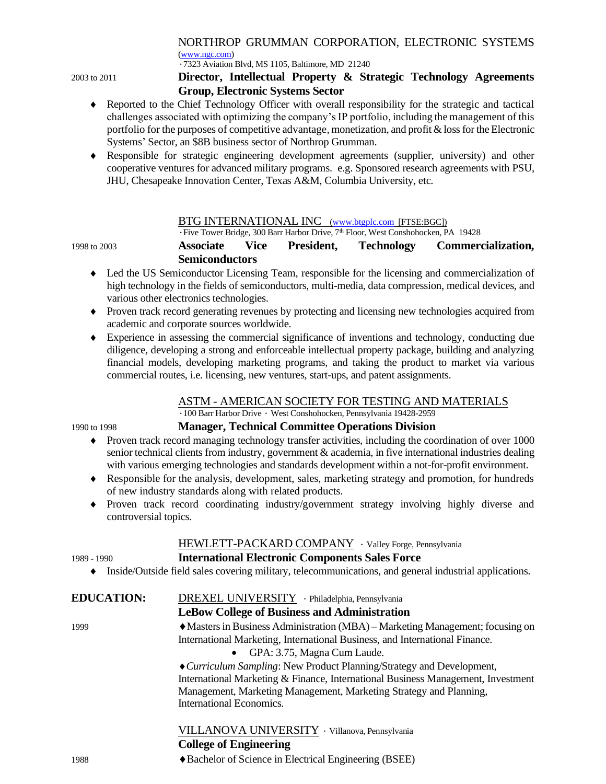# NORTHROP GRUMMAN CORPORATION, ELECTRONIC SYSTEMS

[\(www.ngc.com\)](http://www.ngc.com/) ∙7323 Aviation Blvd, MS 1105, Baltimore, MD 21240

#### 2003 to 2011 **Director, Intellectual Property & Strategic Technology Agreements Group, Electronic Systems Sector**

- Reported to the Chief Technology Officer with overall responsibility for the strategic and tactical challenges associated with optimizing the company's IP portfolio, including the management of this portfolio for the purposes of competitive advantage, monetization, and profit & loss for the Electronic Systems' Sector, an \$8B business sector of Northrop Grumman.
- Responsible for strategic engineering development agreements (supplier, university) and other cooperative ventures for advanced military programs. e.g. Sponsored research agreements with PSU, JHU, Chesapeake Innovation Center, Texas A&M, Columbia University, etc.

#### BTG INTERNATIONAL INC [\(www.btgplc.com](http://www.btgplc.com/) [FTSE:BGC])

∙Five Tower Bridge, 300 Barr Harbor Drive, 7th Floor, West Conshohocken, PA 19428

1998 to 2003 **Associate Vice President, Technology Commercialization, Semiconductors**

- Led the US Semiconductor Licensing Team, responsible for the licensing and commercialization of high technology in the fields of semiconductors, multi-media, data compression, medical devices, and various other electronics technologies.
- Proven track record generating revenues by protecting and licensing new technologies acquired from academic and corporate sources worldwide.
- Experience in assessing the commercial significance of inventions and technology, conducting due diligence, developing a strong and enforceable intellectual property package, building and analyzing financial models, developing marketing programs, and taking the product to market via various commercial routes, i.e. licensing, new ventures, start-ups, and patent assignments.

## ASTM - AMERICAN SOCIETY FOR TESTING AND MATERIALS

∙100 Barr Harbor Drive ∙ West Conshohocken, Pennsylvania 19428-2959

#### 1990 to 1998 **Manager, Technical Committee Operations Division**

- Proven track record managing technology transfer activities, including the coordination of over 1000 senior technical clients from industry, government & academia, in five international industries dealing with various emerging technologies and standards development within a not-for-profit environment.
- Responsible for the analysis, development, sales, marketing strategy and promotion, for hundreds of new industry standards along with related products.
- Proven track record coordinating industry/government strategy involving highly diverse and controversial topics.

## HEWLETT-PACKARD COMPANY ∙ Valley Forge, Pennsylvania

## 1989 - 1990 **International Electronic Components Sales Force**

Inside/Outside field sales covering military, telecommunications, and general industrial applications.

#### **EDUCATION:** DREXEL UNIVERSITY ∙ Philadelphia, Pennsylvania **LeBow College of Business and Administration**

#### 1999 Masters in Business Administration (MBA) – Marketing Management; focusing on International Marketing, International Business, and International Finance.

• GPA: 3.75, Magna Cum Laude.

*Curriculum Sampling*: New Product Planning/Strategy and Development, International Marketing & Finance, International Business Management, Investment Management, Marketing Management, Marketing Strategy and Planning, International Economics.

# VILLANOVA UNIVERSITY ∙ Villanova, Pennsylvania

## **College of Engineering**

1988 Bachelor of Science in Electrical Engineering (BSEE)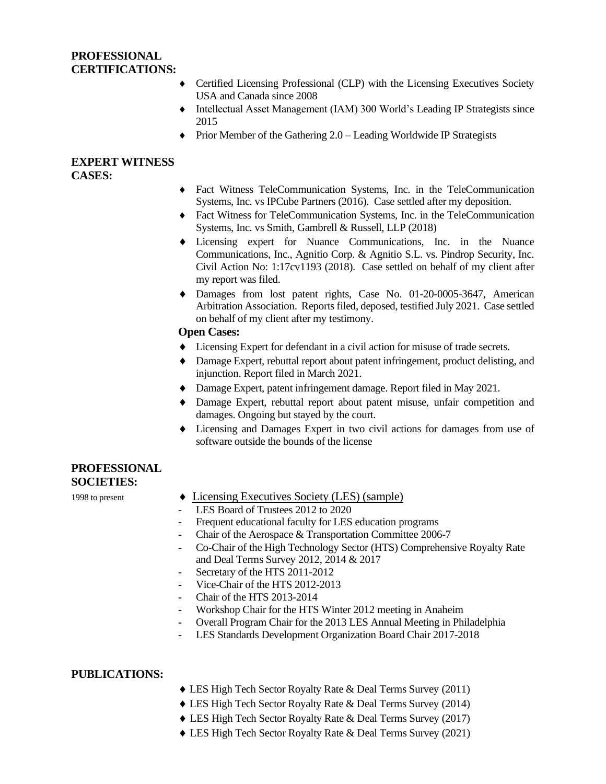#### **PROFESSIONAL CERTIFICATIONS:**

- Certified Licensing Professional (CLP) with the Licensing Executives Society USA and Canada since 2008
- Intellectual Asset Management (IAM) 300 World's Leading IP Strategists since 2015
- $\blacklozenge$  Prior Member of the Gathering 2.0 Leading Worldwide IP Strategists

#### **EXPERT WITNESS CASES:**

- Fact Witness TeleCommunication Systems, Inc. in the TeleCommunication Systems, Inc. vs IPCube Partners (2016). Case settled after my deposition.
- Fact Witness for TeleCommunication Systems, Inc. in the TeleCommunication Systems, Inc. vs Smith, Gambrell & Russell, LLP (2018)
- Licensing expert for Nuance Communications, Inc. in the Nuance Communications, Inc., Agnitio Corp. & Agnitio S.L. vs. Pindrop Security, Inc. Civil Action No: 1:17cv1193 (2018). Case settled on behalf of my client after my report was filed.
- Damages from lost patent rights, Case No. 01-20-0005-3647, American Arbitration Association. Reports filed, deposed, testified July 2021. Case settled on behalf of my client after my testimony.

#### **Open Cases:**

- Licensing Expert for defendant in a civil action for misuse of trade secrets.
- Damage Expert, rebuttal report about patent infringement, product delisting, and injunction. Report filed in March 2021.
- Damage Expert, patent infringement damage. Report filed in May 2021.
- Damage Expert, rebuttal report about patent misuse, unfair competition and damages. Ongoing but stayed by the court.
- Licensing and Damages Expert in two civil actions for damages from use of software outside the bounds of the license

#### **PROFESSIONAL SOCIETIES:**

- 1998 to present  $\bullet$  Licensing Executives Society (LES) (sample)
	- LES Board of Trustees 2012 to 2020
	- Frequent educational faculty for LES education programs
	- Chair of the Aerospace & Transportation Committee 2006-7
	- Co-Chair of the High Technology Sector (HTS) Comprehensive Royalty Rate and Deal Terms Survey 2012, 2014 & 2017
	- Secretary of the HTS 2011-2012
	- Vice-Chair of the HTS 2012-2013
	- Chair of the HTS 2013-2014
	- Workshop Chair for the HTS Winter 2012 meeting in Anaheim
	- Overall Program Chair for the 2013 LES Annual Meeting in Philadelphia
	- LES Standards Development Organization Board Chair 2017-2018

#### **PUBLICATIONS:**

- LES High Tech Sector Royalty Rate & Deal Terms Survey (2011)
- LES High Tech Sector Royalty Rate & Deal Terms Survey (2014)
- LES High Tech Sector Royalty Rate & Deal Terms Survey (2017)
- LES High Tech Sector Royalty Rate & Deal Terms Survey (2021)